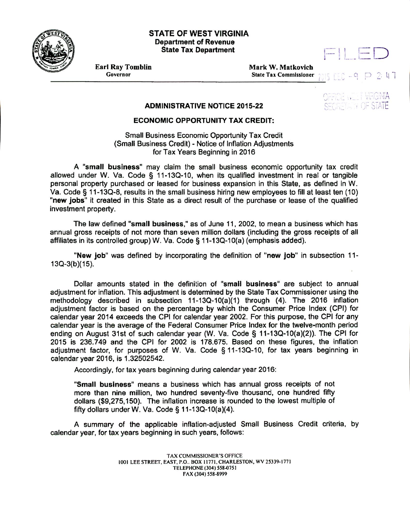

## **Esr STATE OF WEST VIRGINIA Department of Revenue State Tax Department**



**Earl Ray Tomblin**<br> **Governor**<br> **Governor**<br> **Governor**<br> **Governor**<br> **Governor State Tax Commissioner**  $-9$  $D$  2:47

## **ADMINISTRATIVE NOTICE 2015-22**

## **ECONOMIC OPPORTUNITY TAX CREDIT:**

Small Business Economic Opportunity Tax Credit (Small Business Credit) - Notice of Inflation Adjustments for Tax Years Beginning in 2016

**A "small business"** may claim the small business economic opportunity tax credit allowed under W. Va. Code § 11-13Q-10, when its qualified investment in real or tangible personal property purchased or leased for business expansion in this State, as defined in W. Va. Code § 11-13Q-8, results in the small business hiring new employees to fill at least ten (10) **"new jobs"** it created in this State as a direct result of the purchase or lease of the qualified investment property.

The law defined **"small business,"** as of June 11, 2002, to mean a business which has annual gross receipts of not more than seven million dollars (including the gross receipts of all affiliates in its controlled group) W. Va. Code § 11-130-10(a) (emphasis added).

"New job" was defined by incorporating the definition of **"new job"** in subsection 11- 13Q-3(b)(15).

Dollar amounts stated in the definition of **"small business"** are subject to annual adjustment for inflation. This adjustment is determined by the State Tax Commissioner using the methodology described in subsection 11-130-10(a)(1) through (4). The 2016 inflation adjustment factor is based on the percentage by which the Consumer Price Index (CPI) for calendar year 2014 exceeds the CPI for calendar year 2002. For this purpose, the CPI for any calendar year is the average of the Federal Consumer Price Index for the twelve-month period ending on August 31st of such calendar year (W. Va. Code § 11-13Q-10(a)(2)). The CPI for 2015 is 236.749 and the CPI for 2002 is 178.675. Based on these figures, the inflation adjustment factor, for purposes of W. Va. Code § 11-130-10, for tax years beginning in calendar year 2016, is 1.32502542.

Accordingly, for tax years beginning during calendar year 2016:

**"Small business"** means a business which has annual gross receipts of not more than nine million, two hundred seventy-five thousand, one hundred fifty dollars (\$9,275,150). The inflation increase is rounded to the lowest multiple of fifty dollars under W. Va. Code  $\S$  11-13Q-10(a)(4).

A summary of the applicable inflation-adjusted Small Business Credit criteria, by calendar year, for tax years beginning in such years, follows:

> TAX COMMISSIONER'S OFFICE 1001 LEE STREET, EAST, P.O.. BOX 11771. CHARLESTON, WV 25339.1771 TELEPHONE (304) 558.0751 FAX (304) 558-8999